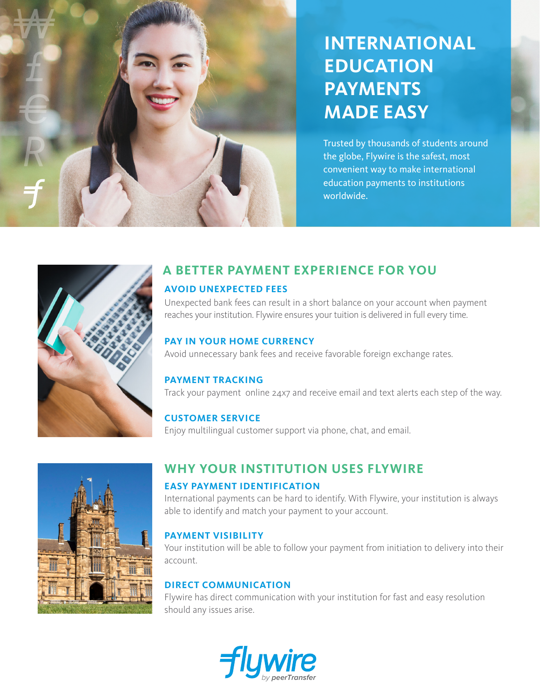# **INTERNATIONAL EDUCATION PAYMENTS MADE EASY**

Trusted by thousands of students around the globe, Flywire is the safest, most convenient way to make international education payments to institutions worldwide.



### **A BETTER PAYMENT EXPERIENCE FOR YOU AVOID UNEXPECTED FEES**

Unexpected bank fees can result in a short balance on your account when payment reaches your institution. Flywire ensures your tuition is delivered in full every time.

#### **PAY IN YOUR HOME CURRENCY**

Avoid unnecessary bank fees and receive favorable foreign exchange rates.

#### **PAYMENT TRACKING**

Track your payment online 24x7 and receive email and text alerts each step of the way.

### **CUSTOMER SERVICE**

Enjoy multilingual customer support via phone, chat, and email.



### **WHY YOUR INSTITUTION USES FLYWIRE EASY PAYMENT IDENTIFICATION**

International payments can be hard to identify. With Flywire, your institution is always able to identify and match your payment to your account.

#### **PAYMENT VISIBILITY**

Your institution will be able to follow your payment from initiation to delivery into their account.

#### **DIRECT COMMUNICATION**

Flywire has direct communication with your institution for fast and easy resolution should any issues arise.